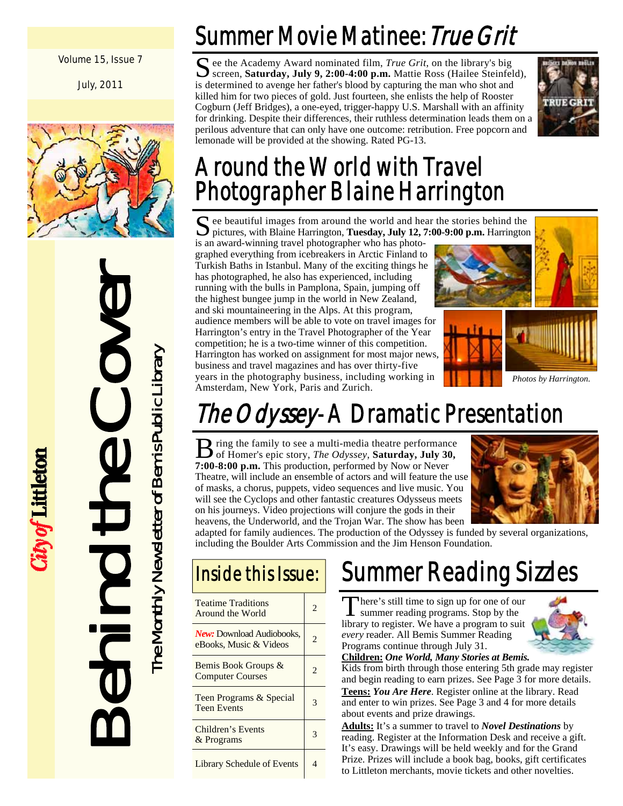#### Volume 15, Issue 7

July, 2011



Behind the Cover The Monthly Newsletter of Bemis Public Library The Monthly Newsletter of Bemis Public Library IDT.

City of Littleton

## Summer Movie Matinee: True Grit

S ee the Academy Award nominated film, *True Grit*, on the library's big screen, **Saturday, July 9, 2:00-4:00 p.m.** Mattie Ross (Hailee Steinfeld), is determined to avenge her father's blood by capturing the man who shot and killed him for two pieces of gold. Just fourteen, she enlists the help of Rooster Cogburn (Jeff Bridges), a one-eyed, trigger-happy U.S. Marshall with an affinity for drinking. Despite their differences, their ruthless determination leads them on a perilous adventure that can only have one outcome: retribution. Free popcorn and lemonade will be provided at the showing. Rated PG-13.



## Around the World with Travel Photographer Blaine Harrington

S ee beautiful images from around the world and hear the stories behind the pictures, with Blaine Harrington, Tuesday, July 12, 7:00-9:00 p.m. Harrington pictures, with Blaine Harrington, **Tuesday, July 12, 7:00-9:00 p.m.** Harrington

is an award-winning travel photographer who has photographed everything from icebreakers in Arctic Finland to Turkish Baths in Istanbul. Many of the exciting things he has photographed, he also has experienced, including running with the bulls in Pamplona, Spain, jumping off the highest bungee jump in the world in New Zealand, and ski mountaineering in the Alps. At this program, audience members will be able to vote on travel images for Harrington's entry in the Travel Photographer of the Year competition; he is a two-time winner of this competition. Harrington has worked on assignment for most major news, business and travel magazines and has over thirty-five years in the photography business, including working in Amsterdam, New York, Paris and Zurich.





# The Odyssey-A Dramatic Presentation

B ring the family to see a multi-media theatre performance of Homer's epic story, *The Odyssey*, **Saturday, July 30, 7:00-8:00 p.m.** This production, performed by Now or Never Theatre, will include an ensemble of actors and will feature the use of masks, a chorus, puppets, video sequences and live music. You will see the Cyclops and other fantastic creatures Odysseus meets on his journeys. Video projections will conjure the gods in their heavens, the Underworld, and the Trojan War. The show has been



adapted for family audiences. The production of the Odyssey is funded by several organizations, including the Boulder Arts Commission and the Jim Henson Foundation.

### Inside this Issue:

| <b>Teatime Traditions</b><br>Around the World              | 2              |
|------------------------------------------------------------|----------------|
| <b>New:</b> Download Audiobooks,<br>eBooks, Music & Videos | $\mathfrak{D}$ |
| Bemis Book Groups &<br><b>Computer Courses</b>             | $\mathfrak{D}$ |
| Teen Programs & Special<br><b>Teen Events</b>              | 3              |
| Children's Events<br>& Programs                            | 3              |
| <b>Library Schedule of Events</b>                          | 4              |

## Summer Reading Sizzles

There's still time to sign up for one of our<br>summer reading programs. Stop by the library to register. We have a program to suit *every* reader. All Bemis Summer Reading Programs continue through July 31.



**Children:** *One World, Many Stories at Bemis.* 

Kids from birth through those entering 5th grade may register and begin reading to earn prizes. See Page 3 for more details. **Teens:** *You Are Here*. Register online at the library. Read and enter to win prizes. See Page 3 and 4 for more details about events and prize drawings.

**Adults:** It's a summer to travel to *Novel Destinations* by reading. Register at the Information Desk and receive a gift. It's easy. Drawings will be held weekly and for the Grand Prize. Prizes will include a book bag, books, gift certificates to Littleton merchants, movie tickets and other novelties.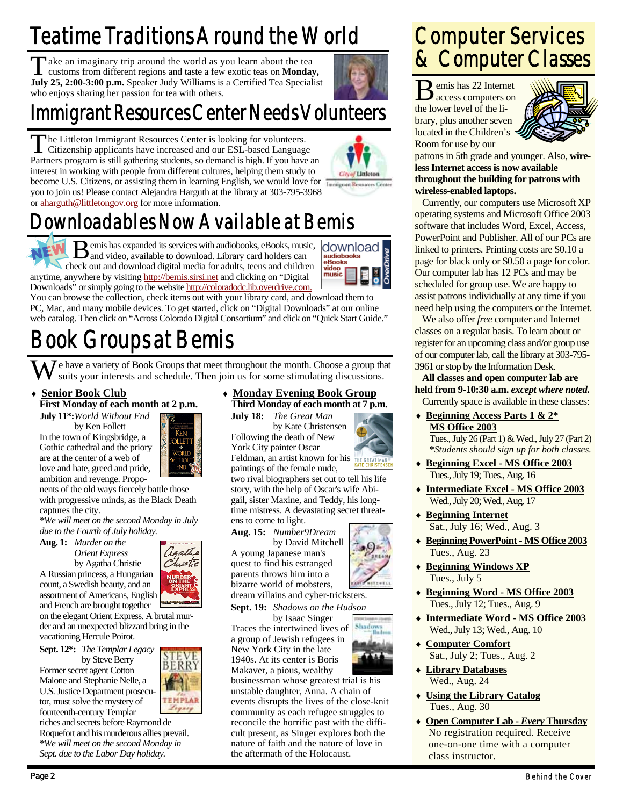## Teatime Traditions Around the World

Take an imaginary trip around the world as you learn about the tea customs from different regions and taste a few exotic teas on **Monday, July 25, 2:00-3:00 p.m.** Speaker Judy Williams is a Certified Tea Specialist who enjoys sharing her passion for tea with others.

### Immigrant Resources Center Needs Volunteers

The Littleton Immigrant Resources Center is looking for volunteers.<br>Citizenship applicants have increased and our ESL-based Language Partners program is still gathering students, so demand is high. If you have an interest in working with people from different cultures, helping them study to become U.S. Citizens, or assisting them in learning English, we would love for **Immigrant Resources Center** you to join us! Please contact Alejandra Harguth at the library at 303-795-3968



**City of Littleton** 

### ownloadables Now Available at Bemis or aharguth@littletongov.org for more information.

 $B$  emis has expanded its services with audiobooks, eBooks, music, and video, available to download. Library card holders can check out and download digital media for adults, teens and children anytime, anywhere by visiting http://bemis.sirsi.net and clicking on "Digital Downloads" or simply going to the website http://coloradodc.lib.overdrive.com.



You can browse the collection, check items out with your library card, and download them to PC, Mac, and many mobile devices. To get started, click on "Digital Downloads" at our online web catalog. Then click on "Across Colorado Digital Consortium" and click on "Quick Start Guide."

## Book Groups at Bemis

 $\sum$  e have a variety of Book Groups that meet throughout the month. Choose a group that suits your interests and schedule. Then join us for some stimulating discussions.

### **Senior Book Club**

**First Monday of each month at 2 p.m.** 

**July 11\*:***World Without End*  by Ken Follett In the town of Kingsbridge, a Gothic cathedral and the priory are at the center of a web of love and hate, greed and pride, ambition and revenge. Propo-



gaths

ERR

**TEMPLAR** 

nents of the old ways fiercely battle those with progressive minds, as the Black Death captures the city.

*\*We will meet on the second Monday in July due to the Fourth of July holiday.* 

**Aug. 1:** *Murder on the Orient Express* 

by Agatha Christie A Russian princess, a Hungarian count, a Swedish beauty, and an assortment of Americans, English and French are brought together

on the elegant Orient Express. A brutal murder and an unexpected blizzard bring in the vacationing Hercule Poirot.

**Sept. 12\*:** *The Templar Legacy*  by Steve Berry Former secret agent Cotton Malone and Stephanie Nelle, a

U.S. Justice Department prosecutor, must solve the mystery of fourteenth-century Templar riches and secrets before Raymond de

Roquefort and his murderous allies prevail. *\*We will meet on the second Monday in Sept. due to the Labor Day holiday.* 

 **Monday Evening Book Group Third Monday of each month at 7 p.m.** 

**July 18:** *The Great Man*  by Kate Christensen Following the death of New York City painter Oscar Feldman, an artist known for his

paintings of the female nude, two rival biographers set out to tell his life story, with the help of Oscar's wife Abigail, sister Maxine, and Teddy, his longtime mistress. A devastating secret threatens to come to light.

**Aug. 15:** *Number9Dream*  by David Mitchell

A young Japanese man's quest to find his estranged



Shadow

bizarre world of mobsters, dream villains and cyber-tricksters.

Traces the intertwined lives of a group of Jewish refugees in New York City in the late 1940s. At its center is Boris Makaver, a pious, wealthy

businessman whose greatest trial is his unstable daughter, Anna. A chain of events disrupts the lives of the close-knit community as each refugee struggles to reconcile the horrific past with the difficult present, as Singer explores both the nature of faith and the nature of love in the aftermath of the Holocaust.

### Computer Services & Computer Classes

B emis has 22 Internet access computers on the lower level of the library, plus another seven located in the Children's Room for use by our



patrons in 5th grade and younger. Also, **wireless Internet access is now available throughout the building for patrons with wireless-enabled laptops.**

 Currently, our computers use Microsoft XP operating systems and Microsoft Office 2003 software that includes Word, Excel, Access, PowerPoint and Publisher. All of our PCs are linked to printers. Printing costs are \$0.10 a page for black only or \$0.50 a page for color. Our computer lab has 12 PCs and may be scheduled for group use. We are happy to assist patrons individually at any time if you need help using the computers or the Internet.

 We also offer *free* computer and Internet classes on a regular basis. To learn about or register for an upcoming class and/or group use of our computer lab, call the library at 303-795- 3961 or stop by the Information Desk.

**All classes and open computer lab are held from 9-10:30 a.m.** *except where noted.*  Currently space is available in these classes:

 **Beginning Access Parts 1 & 2\* MS Office 2003**

 Tues., July 26 (Part 1) & Wed., July 27 (Part 2)  **\****Students should sign up for both classes.* 

- **Beginning Excel MS Office 2003** Tues., July 19; Tues., Aug. 16
- **Intermediate Excel MS Office 2003** Wed., July 20; Wed., Aug. 17
- **Beginning Internet** Sat., July 16; Wed., Aug. 3
- **Beginning PowerPoint MS Office 2003** Tues., Aug. 23
- **Beginning Windows XP** Tues., July 5
- **Beginning Word MS Office 2003** Tues., July 12; Tues., Aug. 9
- **Intermediate Word MS Office 2003** Wed., July 13; Wed., Aug. 10
- **Computer Comfort** Sat., July 2; Tues., Aug. 2
- **Library Databases** Wed., Aug. 24
- **Using the Library Catalog** Tues., Aug. 30
- **Open Computer Lab** *Every* **Thursday** No registration required. Receive one-on-one time with a computer class instructor.



parents throws him into a

**Sept. 19:** *Shadows on the Hudson* 

**by Isaac Singer** 

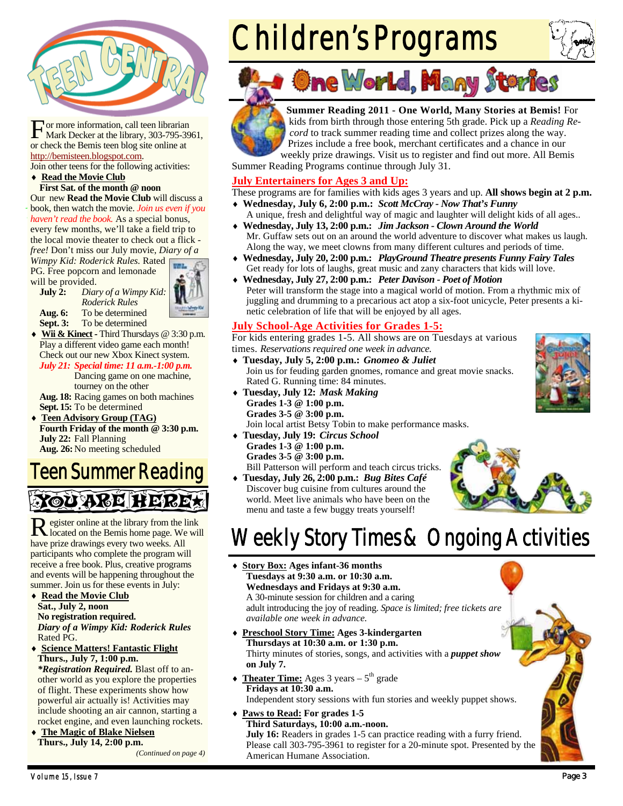

For more information, call teen librarian<br>Mark Decker at the library, 303-795-3961, or check the Bemis teen blog site online at http://bemisteen.blogspot.com.

Join other teens for the following activities: ◆ Read the Movie Club

### **First Sat. of the month @ noon**

Our new **Read the Movie Club** will discuss a book, then watch the movie. *Join us even if you haven't read the book.* As a special bonus, every few months, we'll take a field trip to the local movie theater to check out a flick -

*free!* Don't miss our July movie, *Diary of a Wimpy Kid: Roderick Rules.* Rated PG. Free popcorn and lemonade

will be provided.

**July 2:** *Diary of a Wimpy Kid: Roderick Rules*  **Aug. 6:** To be determined **Sept. 3:** To be determined



**Wii & Kinect** - Third Thursdays @ 3:30 p.m. Play a different video game each month! Check out our new Xbox Kinect system. *July 21: Special time: 11 a.m.-1:00 p.m.* 

Dancing game on one machine, tourney on the other

**Aug. 18:** Racing games on both machines **Sept. 15:** To be determined

 **Teen Advisory Group (TAG) Fourth Friday of the month @ 3:30 p.m. July 22:** Fall Planning **Aug. 26:** No meeting scheduled

### Teen Summer Reading YOU ARE HERE!

R egister online at the library from the link located on the Bemis home page. We will have prize drawings every two weeks. All participants who complete the program will receive a free book. Plus, creative programs and events will be happening throughout the summer. Join us for these events in July:

- **Read the Movie Club Sat., July 2, noon No registration required.**  *Diary of a Wimpy Kid: Roderick Rules*  Rated PG.
- **Science Matters! Fantastic Flight Thurs., July 7, 1:00 p.m.**  *\*Registration Required.* Blast off to an-

other world as you explore the properties of flight. These experiments show how powerful air actually is! Activities may include shooting an air cannon, starting a rocket engine, and even launching rockets.

 **The Magic of Blake Nielsen Thurs., July 14, 2:00 p.m.** 

*(Continued on page 4)* 

# Children's Programs







**Summer Reading 2011 - One World, Many Stories at Bemis!** For kids from birth through those entering 5th grade. Pick up a *Reading Record* to track summer reading time and collect prizes along the way. Prizes include a free book, merchant certificates and a chance in our

weekly prize drawings. Visit us to register and find out more. All Bemis Summer Reading Programs continue through July 31.

### **July Entertainers for Ages 3 and Up:**

These programs are for families with kids ages 3 years and up. **All shows begin at 2 p.m.** 

- **Wednesday, July 6, 2:00 p.m.:** *Scott McCray Now That's Funny* A unique, fresh and delightful way of magic and laughter will delight kids of all ages..
- **Wednesday, July 13, 2:00 p.m.:** *Jim Jackson Clown Around the World* Mr. Guffaw sets out on an around the world adventure to discover what makes us laugh. Along the way, we meet clowns from many different cultures and periods of time.
- **Wednesday, July 20, 2:00 p.m.:** *PlayGround Theatre presents Funny Fairy Tales*  Get ready for lots of laughs, great music and zany characters that kids will love.
- **Wednesday, July 27, 2:00 p.m.:** *Peter Davison Poet of Motion* Peter will transform the stage into a magical world of motion. From a rhythmic mix of juggling and drumming to a precarious act atop a six-foot unicycle, Peter presents a kinetic celebration of life that will be enjoyed by all ages.

### **July School-Age Activities for Grades 1-5:**

For kids entering grades 1-5. All shows are on Tuesdays at various times. *Reservations required one week in advance.* 

- **Tuesday, July 5, 2:00 p.m.:** *Gnomeo & Juliet*  Join us for feuding garden gnomes, romance and great movie snacks. Rated G. Running time: 84 minutes.
- **Tuesday, July 12:** *Mask Making* **Grades 1-3 @ 1:00 p.m. Grades 3-5 @ 3:00 p.m.**
	- Join local artist Betsy Tobin to make performance masks.
- **Tuesday, July 19:** *Circus School* **Grades 1-3 @ 1:00 p.m. Grades 3-5 @ 3:00 p.m.** Bill Patterson will perform and teach circus tricks.
- **Tuesday, July 26, 2:00 p.m.:** *Bug Bites Café*



### Discover bug cuisine from cultures around the world. Meet live animals who have been on the menu and taste a few buggy treats yourself!

- Weekly Story Times & Ongoing Activities
- **Story Box: Ages infant-36 months Tuesdays at 9:30 a.m. or 10:30 a.m. Wednesdays and Fridays at 9:30 a.m.**  A 30-minute session for children and a caring adult introducing the joy of reading. *Space is limited; free tickets are available one week in advance.*
- **Preschool Story Time: Ages 3-kindergarten Thursdays at 10:30 a.m. or 1:30 p.m.**  Thirty minutes of stories, songs, and activities with a *puppet show*  **on July 7.**
- $\triangleleft$  **Theater Time:** Ages 3 years  $5^{\text{th}}$  grade **Fridays at 10:30 a.m.**  Independent story sessions with fun stories and weekly puppet shows.
- **Paws to Read: For grades 1-5**

**Third Saturdays, 10:00 a.m.-noon. July 16:** Readers in grades 1-5 can practice reading with a furry friend. Please call 303-795-3961 to register for a 20-minute spot. Presented by the American Humane Association.